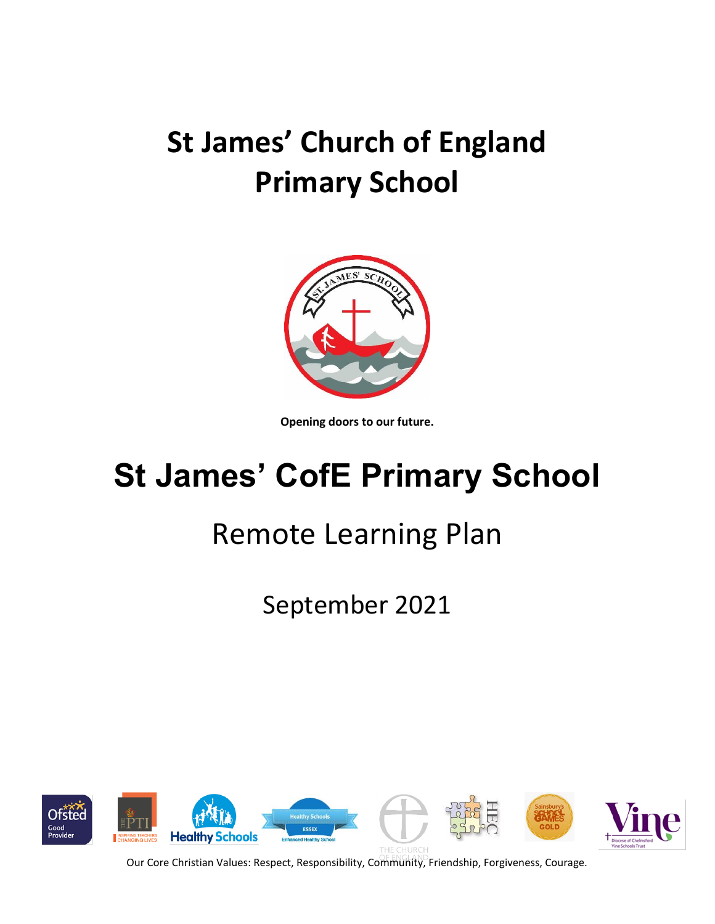# **St James' Church of England Primary School**



**Opening doors to our future.**

# **St James' CofE Primary School**

# Remote Learning Plan

September 2021

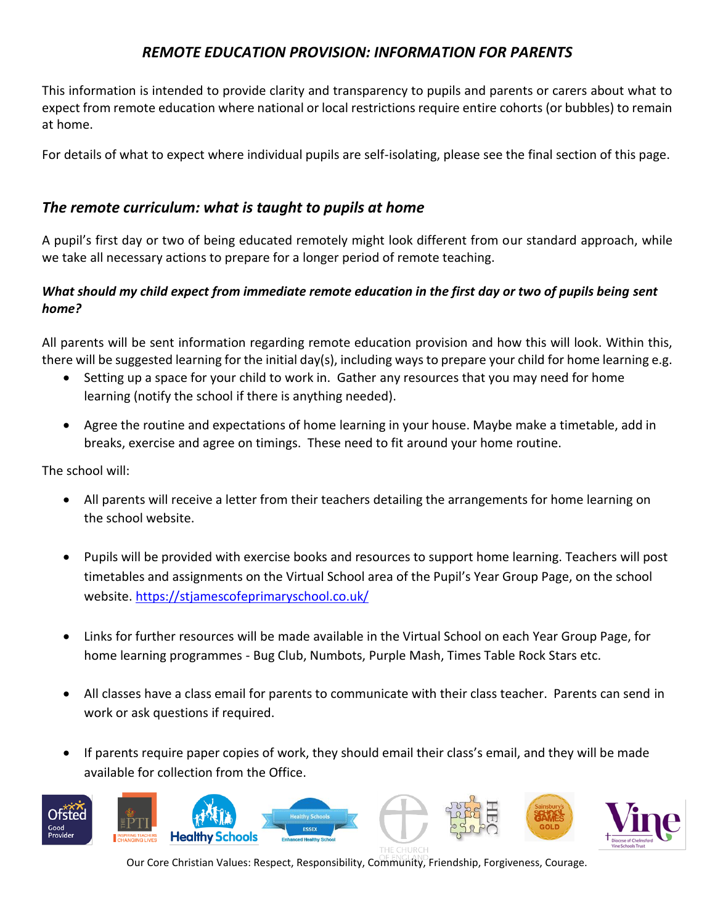### *REMOTE EDUCATION PROVISION: INFORMATION FOR PARENTS*

This information is intended to provide clarity and transparency to pupils and parents or carers about what to expect from remote education where national or local restrictions require entire cohorts (or bubbles) to remain at home.

For details of what to expect where individual pupils are self-isolating, please see the final section of this page.

#### *The remote curriculum: what is taught to pupils at home*

A pupil's first day or two of being educated remotely might look different from our standard approach, while we take all necessary actions to prepare for a longer period of remote teaching.

#### *What should my child expect from immediate remote education in the first day or two of pupils being sent home?*

All parents will be sent information regarding remote education provision and how this will look. Within this, there will be suggested learning for the initial day(s), including ways to prepare your child for home learning e.g.

- Setting up a space for your child to work in. Gather any resources that you may need for home learning (notify the school if there is anything needed).
- Agree the routine and expectations of home learning in your house. Maybe make a timetable, add in breaks, exercise and agree on timings. These need to fit around your home routine.

The school will:

- All parents will receive a letter from their teachers detailing the arrangements for home learning on the school website.
- Pupils will be provided with exercise books and resources to support home learning. Teachers will post timetables and assignments on the Virtual School area of the Pupil's Year Group Page, on the school website.<https://stjamescofeprimaryschool.co.uk/>
- Links for further resources will be made available in the Virtual School on each Year Group Page, for home learning programmes - Bug Club, Numbots, Purple Mash, Times Table Rock Stars etc.
- All classes have a class email for parents to communicate with their class teacher. Parents can send in work or ask questions if required.
- If parents require paper copies of work, they should email their class's email, and they will be made available for collection from the Office.

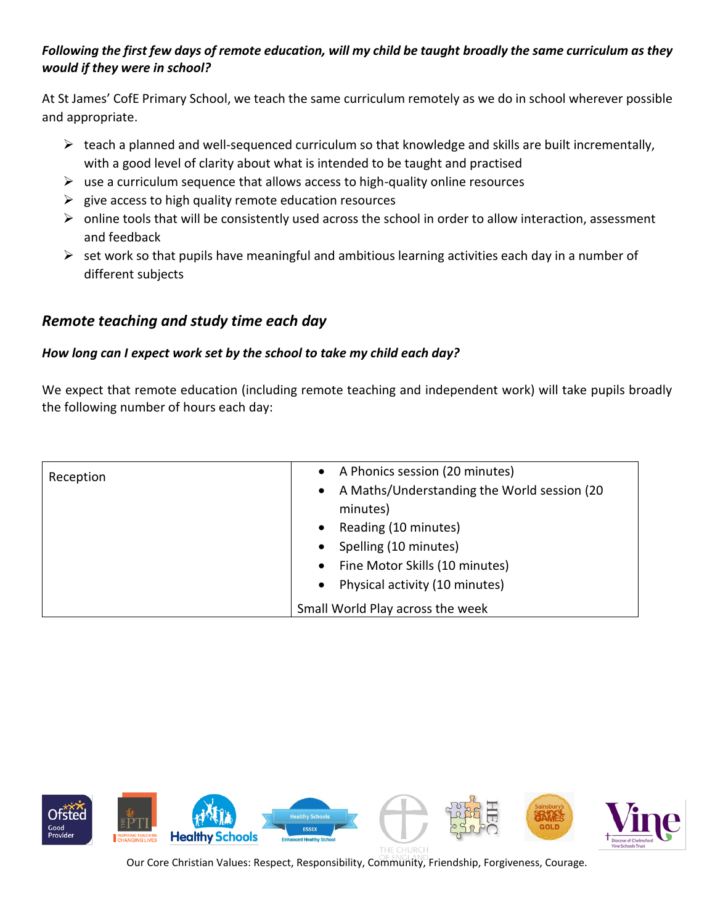### *Following the first few days of remote education, will my child be taught broadly the same curriculum as they would if they were in school?*

At St James' CofE Primary School, we teach the same curriculum remotely as we do in school wherever possible and appropriate.

- $\triangleright$  teach a planned and well-sequenced curriculum so that knowledge and skills are built incrementally, with a good level of clarity about what is intended to be taught and practised
- $\triangleright$  use a curriculum sequence that allows access to high-quality online resources
- $\triangleright$  give access to high quality remote education resources
- ➢ online tools that will be consistently used across the school in order to allow interaction, assessment and feedback
- $\triangleright$  set work so that pupils have meaningful and ambitious learning activities each day in a number of different subjects

# *Remote teaching and study time each day*

#### *How long can I expect work set by the school to take my child each day?*

We expect that remote education (including remote teaching and independent work) will take pupils broadly the following number of hours each day:

| Reception | A Phonics session (20 minutes)<br>$\bullet$ |
|-----------|---------------------------------------------|
|           | A Maths/Understanding the World session (20 |
|           | minutes)                                    |
|           | Reading (10 minutes)                        |
|           | Spelling (10 minutes)                       |
|           | Fine Motor Skills (10 minutes)<br>$\bullet$ |
|           | Physical activity (10 minutes)              |
|           | Small World Play across the week            |

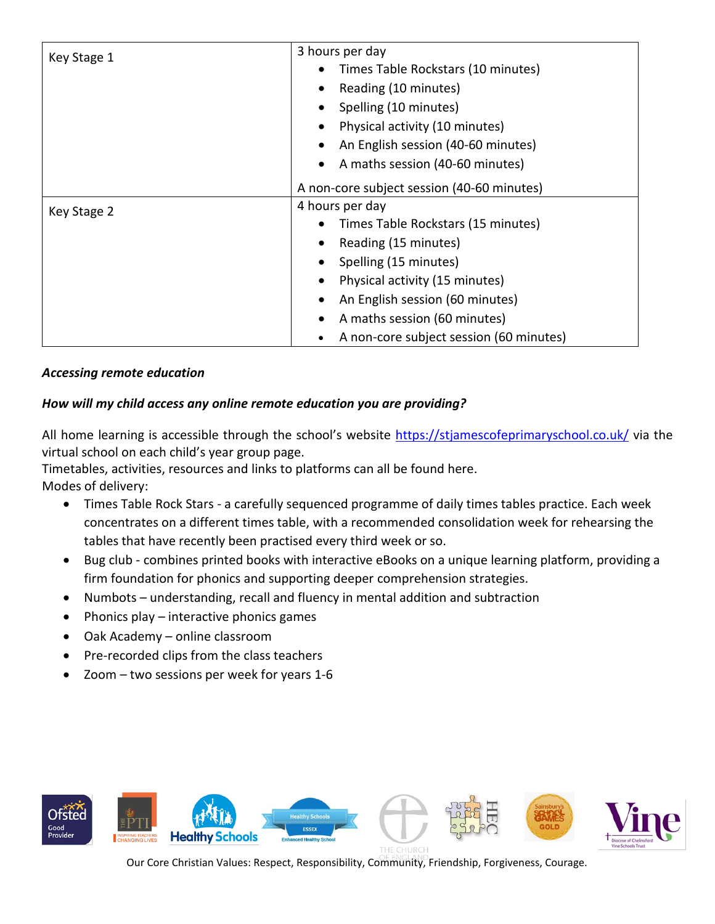| Key Stage 1 | 3 hours per day                              |
|-------------|----------------------------------------------|
|             | Times Table Rockstars (10 minutes)           |
|             | Reading (10 minutes)                         |
|             | Spelling (10 minutes)                        |
|             | Physical activity (10 minutes)               |
|             | An English session (40-60 minutes)           |
|             | A maths session (40-60 minutes)<br>$\bullet$ |
|             | A non-core subject session (40-60 minutes)   |
| Key Stage 2 | 4 hours per day                              |
|             | Times Table Rockstars (15 minutes)           |
|             | Reading (15 minutes)                         |
|             | Spelling (15 minutes)                        |
|             | Physical activity (15 minutes)               |
|             | An English session (60 minutes)              |
|             | A maths session (60 minutes)                 |
|             | A non-core subject session (60 minutes)      |

#### *Accessing remote education*

#### *How will my child access any online remote education you are providing?*

All home learning is accessible through the school's website <https://stjamescofeprimaryschool.co.uk/> via the virtual school on each child's year group page.

Timetables, activities, resources and links to platforms can all be found here. Modes of delivery:

- Times Table Rock Stars a carefully sequenced programme of daily times tables practice. Each week concentrates on a different times table, with a recommended consolidation week for rehearsing the tables that have recently been practised every third week or so.
- Bug club combines printed books with interactive eBooks on a unique learning platform, providing a firm foundation for phonics and supporting deeper comprehension strategies.
- Numbots understanding, recall and fluency in mental addition and subtraction
- Phonics play interactive phonics games
- Oak Academy online classroom
- Pre-recorded clips from the class teachers
- Zoom  $-$  two sessions per week for years 1-6

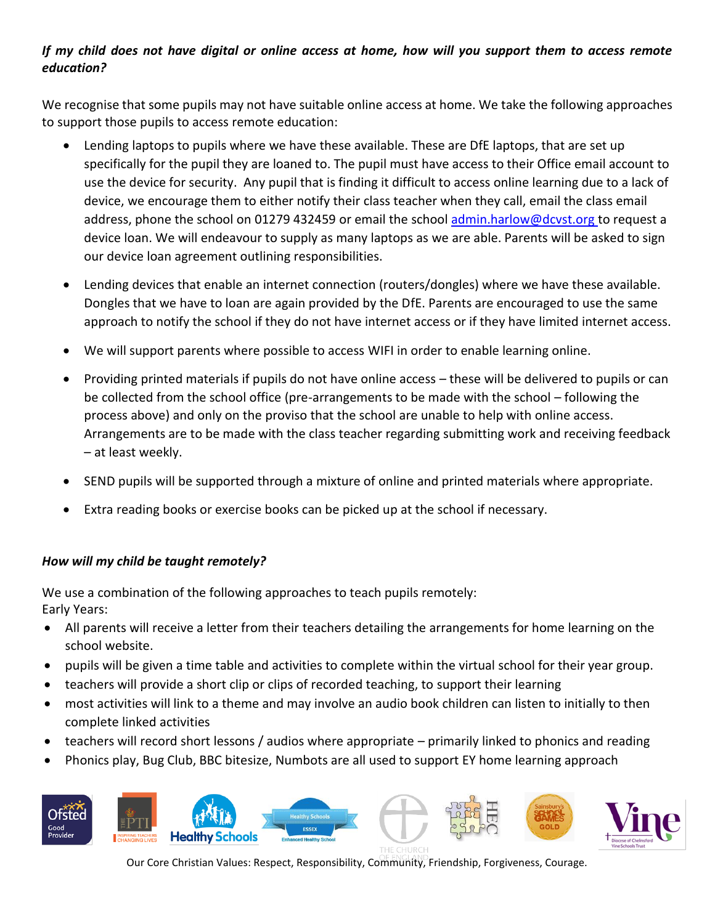### *If my child does not have digital or online access at home, how will you support them to access remote education?*

We recognise that some pupils may not have suitable online access at home. We take the following approaches to support those pupils to access remote education:

- Lending laptops to pupils where we have these available. These are DfE laptops, that are set up specifically for the pupil they are loaned to. The pupil must have access to their Office email account to use the device for security. Any pupil that is finding it difficult to access online learning due to a lack of device, we encourage them to either notify their class teacher when they call, email the class email address, phone the school on 01279 432459 or email the school [admin.harlow@dcvst.org](mailto:admin.harlow@dcvst.org) to request a device loan. We will endeavour to supply as many laptops as we are able. Parents will be asked to sign our device loan agreement outlining responsibilities.
- Lending devices that enable an internet connection (routers/dongles) where we have these available. Dongles that we have to loan are again provided by the DfE. Parents are encouraged to use the same approach to notify the school if they do not have internet access or if they have limited internet access.
- We will support parents where possible to access WIFI in order to enable learning online.
- Providing printed materials if pupils do not have online access these will be delivered to pupils or can be collected from the school office (pre-arrangements to be made with the school – following the process above) and only on the proviso that the school are unable to help with online access. Arrangements are to be made with the class teacher regarding submitting work and receiving feedback – at least weekly.
- SEND pupils will be supported through a mixture of online and printed materials where appropriate.
- Extra reading books or exercise books can be picked up at the school if necessary.

#### *How will my child be taught remotely?*

We use a combination of the following approaches to teach pupils remotely: Early Years:

- All parents will receive a letter from their teachers detailing the arrangements for home learning on the school website.
- pupils will be given a time table and activities to complete within the virtual school for their year group.
- teachers will provide a short clip or clips of recorded teaching, to support their learning
- most activities will link to a theme and may involve an audio book children can listen to initially to then complete linked activities
- teachers will record short lessons / audios where appropriate primarily linked to phonics and reading
- Phonics play, Bug Club, BBC bitesize, Numbots are all used to support EY home learning approach

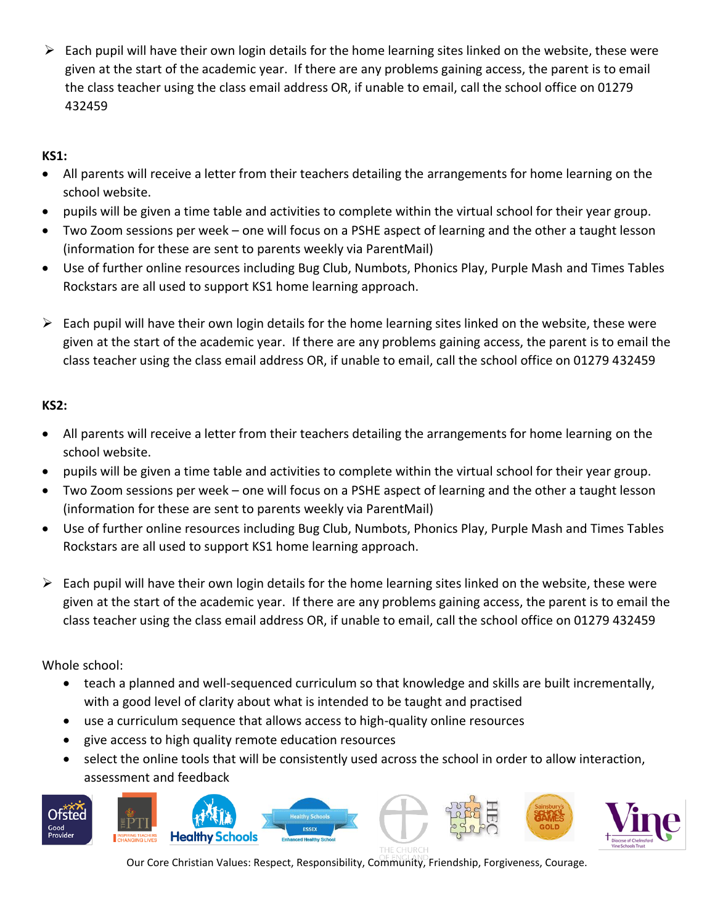$\triangleright$  Each pupil will have their own login details for the home learning sites linked on the website, these were given at the start of the academic year. If there are any problems gaining access, the parent is to email the class teacher using the class email address OR, if unable to email, call the school office on 01279 432459

### **KS1:**

- All parents will receive a letter from their teachers detailing the arrangements for home learning on the school website.
- pupils will be given a time table and activities to complete within the virtual school for their year group.
- Two Zoom sessions per week one will focus on a PSHE aspect of learning and the other a taught lesson (information for these are sent to parents weekly via ParentMail)
- Use of further online resources including Bug Club, Numbots, Phonics Play, Purple Mash and Times Tables Rockstars are all used to support KS1 home learning approach.
- $\triangleright$  Each pupil will have their own login details for the home learning sites linked on the website, these were given at the start of the academic year. If there are any problems gaining access, the parent is to email the class teacher using the class email address OR, if unable to email, call the school office on 01279 432459

#### **KS2:**

- All parents will receive a letter from their teachers detailing the arrangements for home learning on the school website.
- pupils will be given a time table and activities to complete within the virtual school for their year group.
- Two Zoom sessions per week one will focus on a PSHE aspect of learning and the other a taught lesson (information for these are sent to parents weekly via ParentMail)
- Use of further online resources including Bug Club, Numbots, Phonics Play, Purple Mash and Times Tables Rockstars are all used to support KS1 home learning approach.
- $\triangleright$  Each pupil will have their own login details for the home learning sites linked on the website, these were given at the start of the academic year. If there are any problems gaining access, the parent is to email the class teacher using the class email address OR, if unable to email, call the school office on 01279 432459

Whole school:

- teach a planned and well-sequenced curriculum so that knowledge and skills are built incrementally, with a good level of clarity about what is intended to be taught and practised
- use a curriculum sequence that allows access to high-quality online resources
- give access to high quality remote education resources
- select the online tools that will be consistently used across the school in order to allow interaction, assessment and feedback

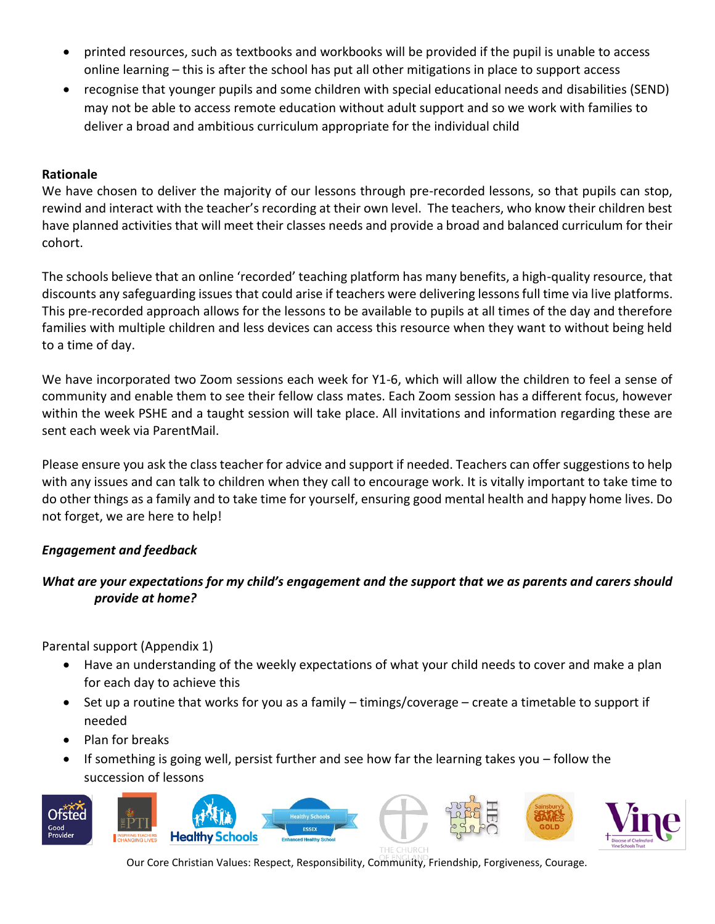- printed resources, such as textbooks and workbooks will be provided if the pupil is unable to access online learning – this is after the school has put all other mitigations in place to support access
- recognise that younger pupils and some children with special educational needs and disabilities (SEND) may not be able to access remote education without adult support and so we work with families to deliver a broad and ambitious curriculum appropriate for the individual child

#### **Rationale**

We have chosen to deliver the majority of our lessons through pre-recorded lessons, so that pupils can stop, rewind and interact with the teacher's recording at their own level. The teachers, who know their children best have planned activities that will meet their classes needs and provide a broad and balanced curriculum for their cohort.

The schools believe that an online 'recorded' teaching platform has many benefits, a high-quality resource, that discounts any safeguarding issues that could arise if teachers were delivering lessons full time via live platforms. This pre-recorded approach allows for the lessons to be available to pupils at all times of the day and therefore families with multiple children and less devices can access this resource when they want to without being held to a time of day.

We have incorporated two Zoom sessions each week for Y1-6, which will allow the children to feel a sense of community and enable them to see their fellow class mates. Each Zoom session has a different focus, however within the week PSHE and a taught session will take place. All invitations and information regarding these are sent each week via ParentMail.

Please ensure you ask the class teacher for advice and support if needed. Teachers can offer suggestions to help with any issues and can talk to children when they call to encourage work. It is vitally important to take time to do other things as a family and to take time for yourself, ensuring good mental health and happy home lives. Do not forget, we are here to help!

#### *Engagement and feedback*

#### *What are your expectations for my child's engagement and the support that we as parents and carers should provide at home?*

Parental support (Appendix 1)

- Have an understanding of the weekly expectations of what your child needs to cover and make a plan for each day to achieve this
- Set up a routine that works for you as a family timings/coverage create a timetable to support if needed
- Plan for breaks
- If something is going well, persist further and see how far the learning takes you follow the succession of lessons

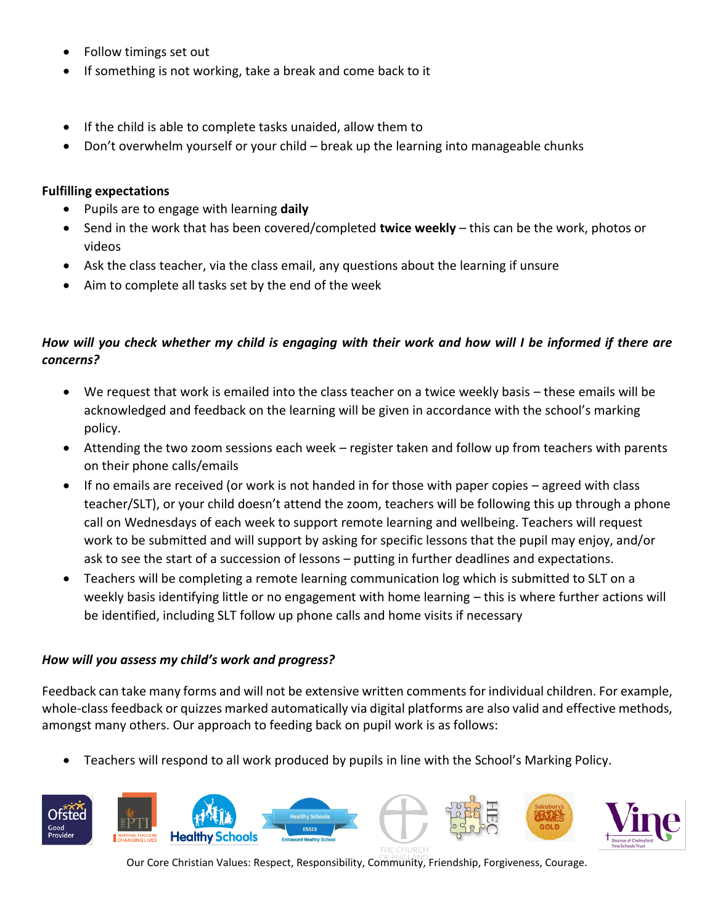- Follow timings set out
- If something is not working, take a break and come back to it
- If the child is able to complete tasks unaided, allow them to
- Don't overwhelm yourself or your child break up the learning into manageable chunks

#### **Fulfilling expectations**

- Pupils are to engage with learning **daily**
- Send in the work that has been covered/completed **twice weekly** this can be the work, photos or videos
- Ask the class teacher, via the class email, any questions about the learning if unsure
- Aim to complete all tasks set by the end of the week

#### *How will you check whether my child is engaging with their work and how will I be informed if there are concerns?*

- We request that work is emailed into the class teacher on a twice weekly basis these emails will be acknowledged and feedback on the learning will be given in accordance with the school's marking policy.
- Attending the two zoom sessions each week register taken and follow up from teachers with parents on their phone calls/emails
- If no emails are received (or work is not handed in for those with paper copies agreed with class teacher/SLT), or your child doesn't attend the zoom, teachers will be following this up through a phone call on Wednesdays of each week to support remote learning and wellbeing. Teachers will request work to be submitted and will support by asking for specific lessons that the pupil may enjoy, and/or ask to see the start of a succession of lessons – putting in further deadlines and expectations.
- Teachers will be completing a remote learning communication log which is submitted to SLT on a weekly basis identifying little or no engagement with home learning – this is where further actions will be identified, including SLT follow up phone calls and home visits if necessary

#### *How will you assess my child's work and progress?*

Feedback can take many forms and will not be extensive written comments for individual children. For example, whole-class feedback or quizzes marked automatically via digital platforms are also valid and effective methods, amongst many others. Our approach to feeding back on pupil work is as follows:

• Teachers will respond to all work produced by pupils in line with the School's Marking Policy.

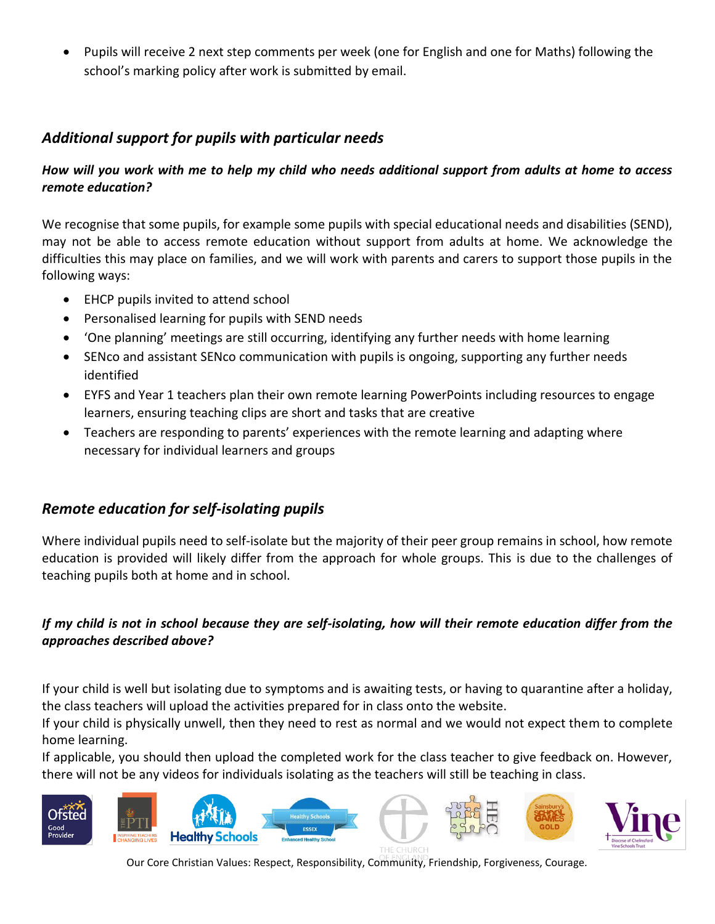• Pupils will receive 2 next step comments per week (one for English and one for Maths) following the school's marking policy after work is submitted by email.

# *Additional support for pupils with particular needs*

#### *How will you work with me to help my child who needs additional support from adults at home to access remote education?*

We recognise that some pupils, for example some pupils with special educational needs and disabilities (SEND), may not be able to access remote education without support from adults at home. We acknowledge the difficulties this may place on families, and we will work with parents and carers to support those pupils in the following ways:

- EHCP pupils invited to attend school
- Personalised learning for pupils with SEND needs
- 'One planning' meetings are still occurring, identifying any further needs with home learning
- SENco and assistant SENco communication with pupils is ongoing, supporting any further needs identified
- EYFS and Year 1 teachers plan their own remote learning PowerPoints including resources to engage learners, ensuring teaching clips are short and tasks that are creative
- Teachers are responding to parents' experiences with the remote learning and adapting where necessary for individual learners and groups

## *Remote education for self-isolating pupils*

Where individual pupils need to self-isolate but the majority of their peer group remains in school, how remote education is provided will likely differ from the approach for whole groups. This is due to the challenges of teaching pupils both at home and in school.

#### *If my child is not in school because they are self-isolating, how will their remote education differ from the approaches described above?*

If your child is well but isolating due to symptoms and is awaiting tests, or having to quarantine after a holiday, the class teachers will upload the activities prepared for in class onto the website.

If your child is physically unwell, then they need to rest as normal and we would not expect them to complete home learning.

If applicable, you should then upload the completed work for the class teacher to give feedback on. However, there will not be any videos for individuals isolating as the teachers will still be teaching in class.